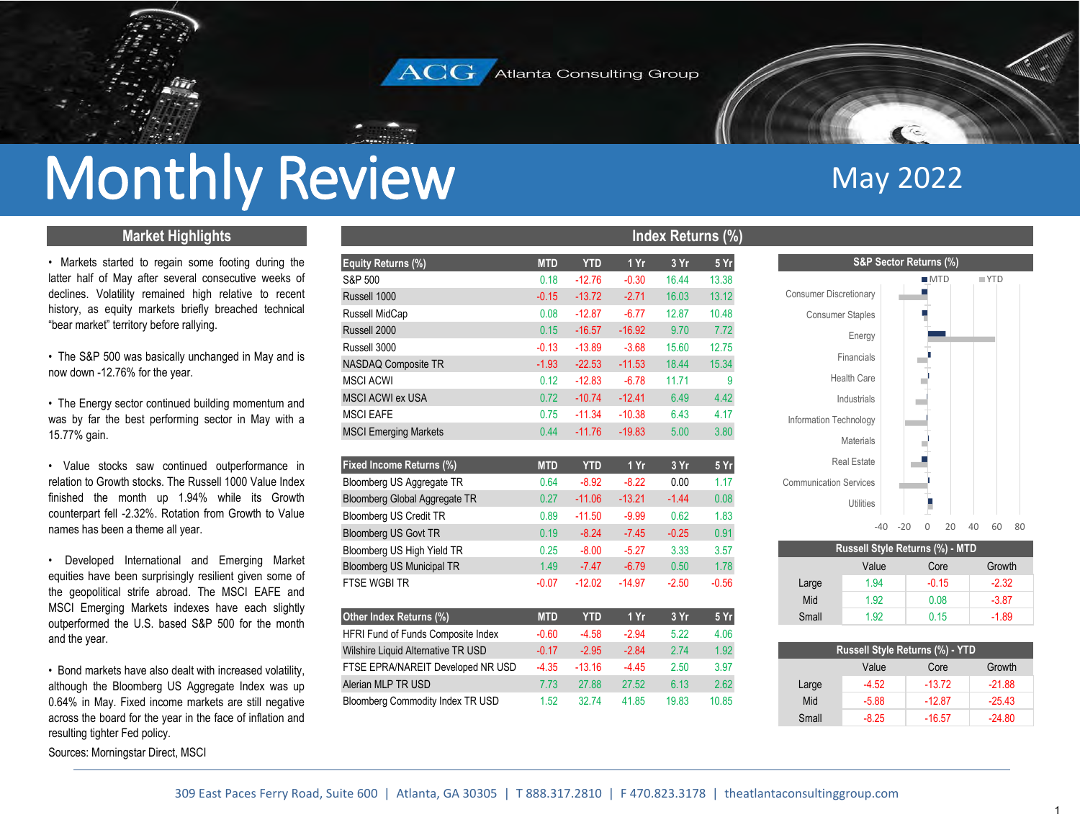

## Monthly Review

### **Market Highlights**

• Markets started to regain some footing during the latter half of May after several consecutive weeks of declines. Volatility remained high relative to recent history, as equity markets briefly breached technical "bear market" territory before rallying.

• The S&P 500 was basically unchanged in May and is now down -12.76% for the year.

• The Energy sector continued building momentum and was by far the best performing sector in May with <sup>a</sup> 15.77% gain.

• Value stocks saw continued outperformance in relation to Growth stocks. The Russell 1000 Value Indexfinished the month up 1.94% while its Growth counterpart fell -2.32%. Rotation from Growth to Value names has been a theme all year.

• Developed International and Emerging Market equities have been surprisingly resilient given some of the geopolitical strife abroad. The MSCI EAFE and MSCI Emerging Markets indexes have each slightly outperformed the U.S. based S&P 500 for the month and the year.

• Bond markets have also dealt with increased volatility, although the Bloomberg US Aggregate Index was up 0.64% in May. Fixed income markets are still negative across the board for the year in the face of inflation and resulting tighter Fed policy.

Sources: Morningstar Direct, MSCI

|                                         |            |            |          | Index Returns (%) |         |                               |                                 |       |                    |    |                    |
|-----------------------------------------|------------|------------|----------|-------------------|---------|-------------------------------|---------------------------------|-------|--------------------|----|--------------------|
| Equity Returns (%)                      | <b>MTD</b> | <b>YTD</b> | 1 Yr     | 3 Yr              | 5 Yr    |                               | S&P Sector Returns (%)          |       |                    |    |                    |
| S&P 500                                 | 0.18       | $-12.76$   | $-0.30$  | 16.44             | 13.38   |                               |                                 |       | MTD                |    | $\blacksquare$ YTD |
| Russell 1000                            | $-0.15$    | $-13.72$   | $-2.71$  | 16.03             | 13.12   | <b>Consumer Discretionary</b> |                                 |       |                    |    |                    |
| Russell MidCap                          | 0.08       | $-12.87$   | $-6.77$  | 12.87             | 10.48   |                               | <b>Consumer Staples</b>         |       |                    |    |                    |
| Russell 2000                            | 0.15       | $-16.57$   | $-16.92$ | 9.70              | 7.72    |                               | Energy                          |       |                    |    |                    |
| Russell 3000                            | $-0.13$    | $-13.89$   | $-3.68$  | 15.60             | 12.75   |                               |                                 |       |                    |    |                    |
| NASDAQ Composite TR                     | $-1.93$    | $-22.53$   | $-11.53$ | 18.44             | 15.34   |                               | Financials                      |       |                    |    |                    |
| <b>MSCI ACWI</b>                        | 0.12       | $-12.83$   | $-6.78$  | 11.71             | 9       |                               | <b>Health Care</b>              |       |                    |    |                    |
| <b>MSCI ACWI ex USA</b>                 | 0.72       | $-10.74$   | $-12.41$ | 6.49              | 4.42    |                               | Industrials                     |       |                    |    |                    |
| <b>MSCI EAFE</b>                        | 0.75       | $-11.34$   | $-10.38$ | 6.43              | 4.17    | Information Technology        |                                 |       |                    |    |                    |
| <b>MSCI Emerging Markets</b>            | 0.44       | $-11.76$   | $-19.83$ | 5.00              | 3.80    |                               |                                 |       |                    |    |                    |
|                                         |            |            |          |                   |         |                               | <b>Materials</b>                |       |                    |    |                    |
| Fixed Income Returns (%)                | <b>MTD</b> | <b>YTD</b> | 1 Yr     | 3 Yr              | 5 Yr    |                               | <b>Real Estate</b>              |       |                    |    |                    |
| Bloomberg US Aggregate TR               | 0.64       | $-8.92$    | $-8.22$  | 0.00              | 1.17    | <b>Communication Services</b> |                                 |       |                    |    |                    |
| Bloomberg Global Aggregate TR           | 0.27       | $-11.06$   | $-13.21$ | $-1.44$           | 0.08    |                               | Utilities                       |       | H                  |    |                    |
| Bloomberg US Credit TR                  | 0.89       | $-11.50$   | $-9.99$  | 0.62              | 1.83    |                               |                                 |       |                    |    |                    |
| Bloomberg US Govt TR                    | 0.19       | $-8.24$    | $-7.45$  | $-0.25$           | 0.91    |                               | $-40$                           | $-20$ | $\mathbf{0}$<br>20 | 40 | 60                 |
| Bloomberg US High Yield TR              | 0.25       | $-8.00$    | $-5.27$  | 3.33              | 3.57    |                               | Russell Style Returns (%) - MTD |       |                    |    |                    |
| Bloomberg US Municipal TR               | 1.49       | $-7.47$    | $-6.79$  | 0.50              | 1.78    |                               | Value                           |       | Core               |    | Growth             |
| <b>FTSE WGBI TR</b>                     | $-0.07$    | $-12.02$   | $-14.97$ | $-2.50$           | $-0.56$ | Large                         | 1.94                            |       | $-0.15$            |    | $-2.32$            |
|                                         |            |            |          |                   |         | Mid                           | 1.92                            |       | 0.08               |    | $-3.87$            |
| Other Index Returns (%)                 | <b>MTD</b> | <b>YTD</b> | 1 Yr     | 3 Yr              | 5 Yr    | Small                         | 1.92                            |       | 0.15               |    | $-1.89$            |
| HFRI Fund of Funds Composite Index      | $-0.60$    | $-4.58$    | $-2.94$  | 5.22              | 4.06    |                               |                                 |       |                    |    |                    |
| Wilshire Liquid Alternative TR USD      | $-0.17$    | $-2.95$    | $-2.84$  | 2.74              | 1.92    |                               | Russell Style Returns (%) - YTD |       |                    |    |                    |
| FTSE EPRA/NAREIT Developed NR USD       | $-4.35$    | $-13.16$   | $-4.45$  | 2.50              | 3.97    |                               | Value                           |       | Core               |    | Growth             |
| Alerian MLP TR USD                      | 7.73       | 27.88      | 27.52    | 6.13              | 2.62    | Large                         | $-4.52$                         |       | $-13.72$           |    | $-21.88$           |
| <b>Bloomberg Commodity Index TR USD</b> | 1.52       | 32.74      | 41.85    | 19.83             | 10.85   | Mid                           | $-5.88$                         |       | $-12.87$           |    | $-25.43$           |
|                                         |            |            |          |                   |         | $C_{mol}$                     | 0.25                            |       | ACE7               |    | 24.90              |

# **W**<br>
Index Returns (%)



| 15 | $-8.00$  | $-5.27$  | 3.33     | 3.57    |       | Russell Style Returns (%) - MTD |         |         |
|----|----------|----------|----------|---------|-------|---------------------------------|---------|---------|
|    | $-7.47$  | $-6.79$  | $0.50\,$ | 1.78    |       | Value                           | Core    | Growth  |
|    | $-12.02$ | $-14.97$ | $-2.50$  | $-0.56$ | Large | 1.94                            | $-0.15$ | $-2.32$ |
|    |          |          |          |         | Mid   | 1.92                            | 0.08    | $-3.87$ |
|    | YTD      | 1 Yr     | 3 Yr     | 5Yr     | Small | 1.92                            | 0.15    | $-1.89$ |

| 5 | $-2.84$ | 2.74  | 1.92  |       |         | Russell Style Returns (%) - YTD |          |
|---|---------|-------|-------|-------|---------|---------------------------------|----------|
| 6 | $-4.45$ | 2.50  | 3.97  |       | Value   | Core                            | Growth   |
| 8 | 27.52   | 6.13  | 2.62  | Large | $-4.52$ | $-13.72$                        | $-21.88$ |
| 4 | 41.85   | 19.83 | 10.85 | Mid   | $-5.88$ | $-12.87$                        | $-25.43$ |
|   |         |       |       | Small | $-8.25$ | $-16.57$                        | $-24.80$ |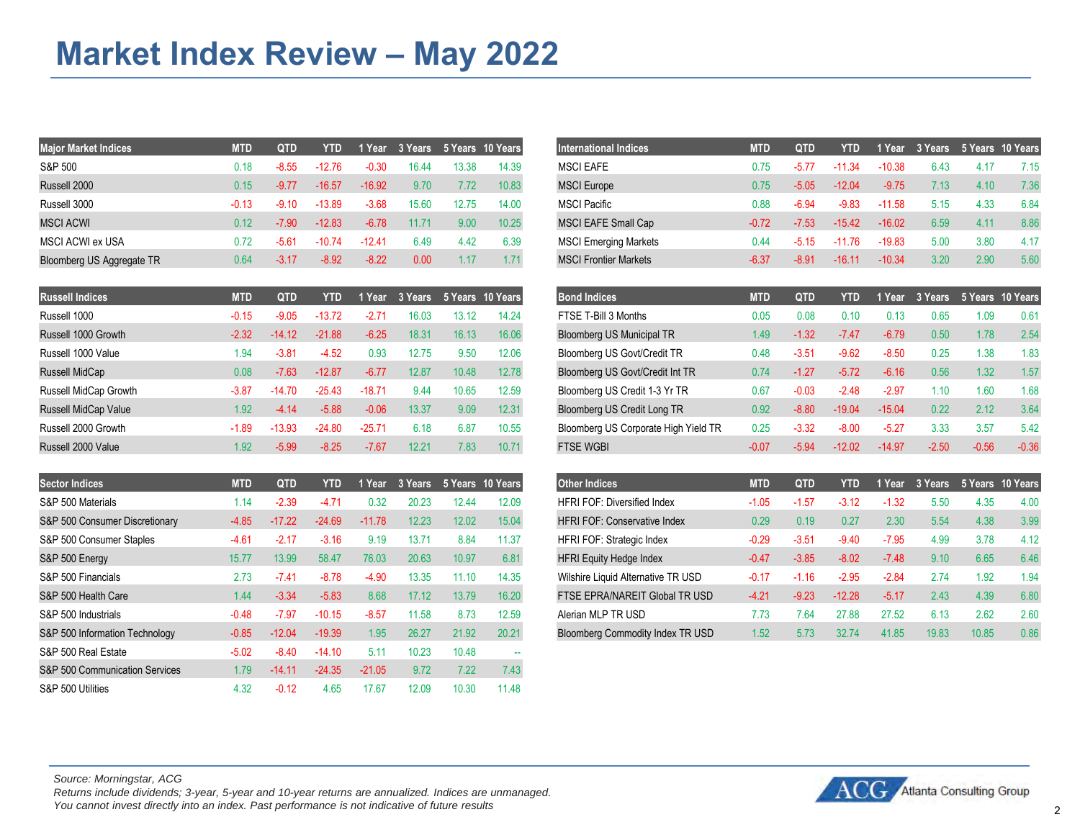| <b>Major Market Indices</b> | <b>MTD</b> | <b>QTD</b> | YTD      | 1 Year   |       |       | 3 Years 5 Years 10 Years | <b>International Indices</b> | <b>MTD</b> | OTD     | YTD      | 1 Year   | 3 Years 5 Years 10 Years |      |      |
|-----------------------------|------------|------------|----------|----------|-------|-------|--------------------------|------------------------------|------------|---------|----------|----------|--------------------------|------|------|
| S&P 500                     | 0.18       | $-8.55$    | $-12.76$ | -0.30    | 16.44 | 13.38 | 14.39                    | MSCI EAFE                    | 0.75       |         | -11.34   | $-10.38$ | 6.43                     |      | 7.15 |
| Russell 2000                | 0.15       | $-9.77$    | $-16.57$ | $-16.92$ | 9.70  | 7.72  | 10.83                    | <b>MSCI</b> Europe           | 0.75       | $-5.05$ | $-12.04$ | $-9.75$  | 7.13                     | 4.10 | 7.36 |
| Russell 3000                | -0.13      | $-9.10$    | $-13.89$ | $-3.68$  | 15.60 | 12.75 | 14.00                    | <b>MSCI Pacific</b>          | 0.88       | -6.94   | -9.83    | $-11.58$ | 5.15                     | 4.33 | 6.84 |
| <b>MSCI ACWI</b>            | 0.12       | $-7.90$    | $-12.83$ | $-6.78$  | 11.71 | 9.00  | 10.25                    | <b>MSCI EAFE Small Cap</b>   | $-0.72$    | $-7.53$ | $-15.42$ | $-16.02$ | 6.59                     | 4.11 | 8.86 |
| MSCI ACWI ex USA            | 0.72       | -5.61      | $-10.74$ | $-12.41$ | 6.49  | 4.42  | 6.39                     | <b>MSCI Emerging Markets</b> | 0.44       |         | $-11.76$ | $-19.83$ | 5.00                     | 3.80 | 4.17 |
| Bloomberg US Aggregate TR   | 0.64       | $-3.17$    | $-8.92$  | $-8.22$  | 0.00  | .17   |                          | <b>MSCI Frontier Markets</b> | -6.37      | -8.91   |          | $-10.34$ | 3.20                     | 2.90 | 5.60 |

| QTD<br>5 Years 10 Years<br><b>Bond Indices</b><br>5 Years 10 Years<br>3 Years<br><b>MTD</b><br>QTD<br>MTD<br>1 Year<br>1 Year<br>3 Years<br>YTD<br>YTD I<br>FTSE T-Bill 3 Months<br>0.61<br>14.24<br>0.05<br>0.08<br>$-9.05$<br>0.13<br>-0.15<br>$-13.72$<br>-2.71<br>16.03<br>0.10<br>0.65<br>.09<br>13.12<br>Bloomberg US Municipal TR<br>16.13<br>16.06<br>0.50<br>2.54<br>$-6.25$<br>18.31<br>$-1.32$<br>$-21.88$<br>$-7.47$<br>$-6.79$<br>$-14.12$<br>1.78<br>$-2.32$<br>1.49<br>1.83<br>9.50<br>12.06<br>Bloomberg US Govt/Credit TR<br>$-9.62$<br>$-8.50$<br>$-4.52$<br>12.75<br>0.25<br>$-3.81$<br>0.93<br>$-3.51$<br>0.48<br>1.94<br>1.57<br>12.78<br>Bloomberg US Govt/Credit Int TR<br>0.56<br>$-7.63$<br>$-6.77$<br>12.87<br>10.48<br>0.74<br>$-1.27$<br>$-5.72$<br>$-6.16$<br>1.32<br>$-12.87$<br>0.08<br>1.68<br>10.65<br>Bloomberg US Credit 1-3 Yr TR<br>$-2.48$<br>$-2.97$<br>$-14.70$<br>9.44<br>12.59<br>0.67<br>$-0.03$<br>1.10<br>$-25.43$<br>$-18.71$<br>0.60<br>$-3.87$<br>9.09<br>Bloomberg US Credit Long TR<br>12.31<br>0.22<br>3.64<br>$-0.06$<br>13.37<br>$-15.04$<br>2.12<br>$-5.88$<br>0.92<br>$-8.80$<br>$-4.14$<br>$-19.04$<br>1.92<br>$-3.32$<br>3.33<br>$-24.80$<br>6.18<br>6.87<br>10.55<br>Bloomberg US Corporate High Yield TR<br>0.25<br>$-5.27$<br>3.57<br>5.42<br>$-13.93$<br>$-8.00$<br>$-25.71$<br>$-1.89$<br><b>FTSE WGBI</b><br>7.83<br>$-0.36$<br>$-5.99$<br>10.71<br>$-2.50$<br>$-0.56$<br>$-7.67$<br>12.21<br>$-12.02$<br>$-8.25$<br>$-14.97$<br>$-0.07$<br>$-5.94$<br>1.92 |                             |  |  |  |  |  |  |  |  |
|----------------------------------------------------------------------------------------------------------------------------------------------------------------------------------------------------------------------------------------------------------------------------------------------------------------------------------------------------------------------------------------------------------------------------------------------------------------------------------------------------------------------------------------------------------------------------------------------------------------------------------------------------------------------------------------------------------------------------------------------------------------------------------------------------------------------------------------------------------------------------------------------------------------------------------------------------------------------------------------------------------------------------------------------------------------------------------------------------------------------------------------------------------------------------------------------------------------------------------------------------------------------------------------------------------------------------------------------------------------------------------------------------------------------------------------------------------------------------------------------------------------------------|-----------------------------|--|--|--|--|--|--|--|--|
|                                                                                                                                                                                                                                                                                                                                                                                                                                                                                                                                                                                                                                                                                                                                                                                                                                                                                                                                                                                                                                                                                                                                                                                                                                                                                                                                                                                                                                                                                                                            | <b>Russell Indices</b>      |  |  |  |  |  |  |  |  |
|                                                                                                                                                                                                                                                                                                                                                                                                                                                                                                                                                                                                                                                                                                                                                                                                                                                                                                                                                                                                                                                                                                                                                                                                                                                                                                                                                                                                                                                                                                                            | Russell 1000                |  |  |  |  |  |  |  |  |
|                                                                                                                                                                                                                                                                                                                                                                                                                                                                                                                                                                                                                                                                                                                                                                                                                                                                                                                                                                                                                                                                                                                                                                                                                                                                                                                                                                                                                                                                                                                            | Russell 1000 Growth         |  |  |  |  |  |  |  |  |
|                                                                                                                                                                                                                                                                                                                                                                                                                                                                                                                                                                                                                                                                                                                                                                                                                                                                                                                                                                                                                                                                                                                                                                                                                                                                                                                                                                                                                                                                                                                            | Russell 1000 Value          |  |  |  |  |  |  |  |  |
|                                                                                                                                                                                                                                                                                                                                                                                                                                                                                                                                                                                                                                                                                                                                                                                                                                                                                                                                                                                                                                                                                                                                                                                                                                                                                                                                                                                                                                                                                                                            | Russell MidCap              |  |  |  |  |  |  |  |  |
|                                                                                                                                                                                                                                                                                                                                                                                                                                                                                                                                                                                                                                                                                                                                                                                                                                                                                                                                                                                                                                                                                                                                                                                                                                                                                                                                                                                                                                                                                                                            | Russell MidCap Growth       |  |  |  |  |  |  |  |  |
|                                                                                                                                                                                                                                                                                                                                                                                                                                                                                                                                                                                                                                                                                                                                                                                                                                                                                                                                                                                                                                                                                                                                                                                                                                                                                                                                                                                                                                                                                                                            | <b>Russell MidCap Value</b> |  |  |  |  |  |  |  |  |
|                                                                                                                                                                                                                                                                                                                                                                                                                                                                                                                                                                                                                                                                                                                                                                                                                                                                                                                                                                                                                                                                                                                                                                                                                                                                                                                                                                                                                                                                                                                            | Russell 2000 Growth         |  |  |  |  |  |  |  |  |
|                                                                                                                                                                                                                                                                                                                                                                                                                                                                                                                                                                                                                                                                                                                                                                                                                                                                                                                                                                                                                                                                                                                                                                                                                                                                                                                                                                                                                                                                                                                            | Russell 2000 Value          |  |  |  |  |  |  |  |  |

| <b>Sector Indices</b>          | <b>MTD</b> | <b>QTD</b> | <b>YTD</b> | 1 Year   | 3 Years |       | 5 Years 10 Years | <b>Other Indices</b>                | <b>MTD</b> | <b>QTD</b> | YTD      | 1 Year  | 3 Years | 5 Years 10 Years |
|--------------------------------|------------|------------|------------|----------|---------|-------|------------------|-------------------------------------|------------|------------|----------|---------|---------|------------------|
| S&P 500 Materials              | 1.14       | $-2.39$    | $-4.7'$    | 0.32     | 20.23   | 12.44 | 12.09            | <b>HFRI FOF: Diversified Index</b>  | $-1.05$    | $-1.57$    | $-3.12$  | $-1.32$ | 5.50    | 4.35             |
| S&P 500 Consumer Discretionary | $-4.85$    | $-17.22$   | $-24.69$   | $-11.78$ | 12.23   | 12.02 | 15.04            | <b>HFRI FOF: Conservative Index</b> | 0.29       | 0.19       | 0.27     | 2.30    | 5.54    | 4.38             |
| S&P 500 Consumer Staples       | $-4.61$    | $-2.17$    | $-3.16$    | 9.19     | 13.71   | 8.84  | 11.37            | HFRI FOF: Strategic Index           | $-0.29$    | $-3.51$    | $-9.40$  | $-7.95$ | 4.99    | 3.78             |
| S&P 500 Energy                 | 15.77      | 13.99      | 58.47      | 76.03    | 20.63   | 10.97 | 6.81             | <b>HFRI Equity Hedge Index</b>      | $-0.47$    | $-3.85$    | $-8.02$  | $-7.48$ | 9.10    | 6.65             |
| S&P 500 Financials             | 2.73       | $-7.41$    | $-8.78$    | $-4.90$  | 13.35   | 11.10 | 14.35            | Wilshire Liquid Alternative TR USD  | $-0.17$    | $-1.16$    | $-2.95$  | $-2.84$ | 2.74    | 1.92             |
| S&P 500 Health Care            | 1.44       | $-3.34$    | $-5.83$    | 8.68     | 17.12   | 13.79 | 16.20            | FTSE EPRA/NAREIT Global TR USD      | $-4.21$    | $-9.23$    | $-12.28$ | $-5.17$ | 2.43    | 4.39             |
| S&P 500 Industrials            | $-0.48$    | $-7.97$    | $-10.15$   | $-8.57$  | 11.58   | 8.73  | 12.59            | Alerian MLP TR USD                  | 7.73       | 7.64       | 27.88    | 27.52   | 6.13    | 2.62             |
| S&P 500 Information Technology | $-0.85$    | $-12.04$   | $-19.39$   | 1.95     | 26.27   | 21.92 | 20.21            | Bloomberg Commodity Index TR USD    | 1.52       | 5.73       | 32.74    | 41.85   | 19.83   | 10.85            |
| S&P 500 Real Estate            | $-5.02$    | $-8.40$    | $-14.10$   | 5.11     | 10.23   | 10.48 | $\sim$           |                                     |            |            |          |         |         |                  |
| S&P 500 Communication Services | 1.79       | $-14.11$   | $-24.35$   | $-21.05$ | 9.72    | 7.22  | 7.43             |                                     |            |            |          |         |         |                  |
| S&P 500 Utilities              | 4.32       | $-0.12$    | 4.65       | 17.67    | 12.09   | 10.30 | 11.48            |                                     |            |            |          |         |         |                  |

| et Indices      | <b>MTD</b> | QTD     | YTD      | 1 Year   |       |       | 3 Years 5 Years 10 Years | <b>International Indices</b> | <b>MTD</b> | <b>QTD</b> | YTD      | 1 Year   | 3 Years 5 Years 10 Years |      |      |
|-----------------|------------|---------|----------|----------|-------|-------|--------------------------|------------------------------|------------|------------|----------|----------|--------------------------|------|------|
|                 | 0.18       | -8.55   | $-12.76$ | $-0.30$  | 16.44 | 13.38 | 14.39                    | <b>MSCI EAFE</b>             | 0.75       | -5.77      | 1.34     | $-10.38$ | 6.43                     | 4.17 | 7.15 |
|                 | 0.15       | $-9.77$ | $-16.57$ | $-16.92$ | 9.70  | 7.72  | 10.83                    | <b>MSCI</b> Europe           | 0.75       | $-5.05$    | $-12.04$ | -9.75    |                          | 4.10 | 7.36 |
|                 | $-0.13$    |         | $-13.89$ | $-3.68$  | 15.60 | 12.75 | 14.00                    | <b>MSCI Pacific</b>          | 0.88       | $-6.94$    | $-9.83$  | $-11.58$ |                          | 4.33 | 6.84 |
|                 | 0.12       | $-7.90$ | $-12.83$ | $-6.78$  | 11.71 | 9.00  | 10.25                    | <b>MSCI EAFE Small Cap</b>   | -0.72      | $-7.53$    | $-15.42$ | $-16.02$ | 6.59                     | 4.11 | 8.86 |
| l ex USA        | 0.72       | $-5.64$ | $-10.74$ | $-12.41$ | 6.49  | 4.42  | 6.39                     | <b>MSCI Emerging Markets</b> | 0.44       | -5.15      | -76      | $-19.83$ | 5.00                     | 3.80 | 4.17 |
| US Aggregate TR | 0.64       | $-3.17$ | $-8.92$  | $-8.22$  | 0.00  | .17   | 1.71                     | <b>MSCI Frontier Markets</b> | $-6.37$    | $-8.91$    | $-16.11$ | $-10.34$ | 3.20                     | 2.90 | 5.60 |
|                 |            |         |          |          |       |       |                          |                              |            |            |          |          |                          |      |      |

| lices      | <b>MTD</b> | QTD      | <b>YTD</b> | ∣ Year   |       |       | 3 Years 5 Years 10 Years | <b>Bond Indices</b>                  | <b>MTD</b> | QTD     | YTD      | $-1$ Year $-$ | 3 Years 5 Years 10 Years |  |
|------------|------------|----------|------------|----------|-------|-------|--------------------------|--------------------------------------|------------|---------|----------|---------------|--------------------------|--|
|            | $-0.15$    | $-9.05$  | $-13.72$   | $-2.74$  | 16.03 | 13.12 | 14.24                    | FTSE T-Bill 3 Months                 | 0.05       | 0.08    | 0.10     | 0.13          | 0.65                     |  |
| 0 Growth   | $-2.32$    | $-14.12$ | $-21.88$   | $-6.25$  | 18.31 | 16.13 | 16.06                    | <b>Bloomberg US Municipal TR</b>     | 1.49       | $-1.32$ | $-7.47$  | $-6.79$       | 0.50                     |  |
| 0 Value    | .94        | $-3.81$  | $-4.52$    | 0.93     | 12.75 | 9.50  | 12.06                    | Bloomberg US Govt/Credit TR          | 0.48       | $-3.51$ | $-9.62$  | $-8.50$       | 0.25                     |  |
| Cap        | 0.08       | $-7.63$  | $-12.87$   | $-6.77$  | 12.87 | 10.48 | 12.78                    | Bloomberg US Govt/Credit Int TR      | 0.74       | $-1.27$ | $-5.72$  | $-6.16$       | 0.56                     |  |
| Cap Growth | $-3.87$    | $-14.70$ | $-25.43$   | $-18.71$ | 9.44  | 10.65 | 12.59                    | Bloomberg US Credit 1-3 Yr TR        | 0.67       | $-0.03$ | $-2.48$  | $-2.97$       | 1.10                     |  |
| Cap Value  | 1.92       | $-4.14$  | $-5.88$    | $-0.06$  | 13.37 | 9.09  | 12.31                    | Bloomberg US Credit Long TR          | 0.92       | $-8.80$ | $-19.04$ | $-15.04$      | 0.22                     |  |
| 0 Growth   | $-1.89$    | $-13.93$ | $-24.80$   | $-25.71$ | 6.18  | 6.87  | 10.55                    | Bloomberg US Corporate High Yield TR | 0.25       | $-3.32$ | $-8.00$  | $-5.27$       | 3.33                     |  |
| 0 Value    | 1.92       | $-5.99$  | $-8.25$    | $-7.67$  | 12.21 | 7.83  | 10.71                    | <b>FTSE WGBI</b>                     | $-0.07$    | $-5.94$ | $-12.02$ | $-14.97$      | $-2.50$                  |  |
|            |            |          |            |          |       |       |                          |                                      |            |         |          |               |                          |  |

| D  | QTD      | YTD      | $-1$ Year | 3 Years |       | 5 Years 10 Years | <b>Other Indices</b>                | <b>MTD</b> | QTD     | YTD      | 1 Year  | 3 Years |       | 5 Years 10 Years |
|----|----------|----------|-----------|---------|-------|------------------|-------------------------------------|------------|---------|----------|---------|---------|-------|------------------|
|    | $-2.39$  | $-4.71$  | 0.32      | 20.23   | 12.44 | 12.09            | <b>HFRI FOF: Diversified Index</b>  | $-1.05$    | $-1.57$ | $-3.12$  | $-1.32$ | 5.50    | 4.35  | 4.00             |
| 5. | $-17.22$ | $-24.69$ | $-11.78$  | 12.23   | 12.02 | 15.04            | <b>HFRI FOF: Conservative Index</b> | 0.29       | 0.19    | 0.27     | 2.30    | 5.54    | 4.38  | 3.99             |
|    | $-2.17$  | $-3.16$  | 9.19      | 13.71   | 8.84  | 11.37            | <b>HFRI FOF: Strategic Index</b>    | $-0.29$    | $-3.51$ | $-9.40$  | $-7.95$ | 4.99    | 3.78  | 4.12             |
|    | 13.99    | 58.47    | 76.03     | 20.63   | 10.97 | 6.81             | <b>HFRI Equity Hedge Index</b>      | $-0.47$    | $-3.85$ | $-8.02$  | $-7.48$ | 9.10    | 6.65  | 6.46             |
|    | $-7.41$  | $-8.78$  | $-4.90$   | 13.35   | 11.10 | 14.35            | Wilshire Liquid Alternative TR USD  | $-0.17$    | $-1.16$ | $-2.95$  | $-2.84$ | 2.74    | 1.92  | 1.94             |
|    | $-3.34$  | $-5.83$  | 8.68      | 17.12   | 13.79 | 16.20            | FTSE EPRA/NAREIT Global TR USD      | $-4.21$    | $-9.23$ | $-12.28$ | $-5.17$ | 2.43    | 4.39  | 6.80             |
| 8. | $-7.97$  | $-10.15$ | $-8.57$   | 11.58   | 8.73  | 12.59            | Alerian MLP TR USD                  | 7.73       | 7.64    | 27.88    | 27.52   | 6.13    | 2.62  | 2.60             |
|    | $-12.04$ | $-19.39$ | 1.95      | 26.27   | 21.92 | 20.21            | Bloomberg Commodity Index TR USD    | .52        | 5.73    | 32.74    | 41.85   | 19.83   | 10.85 | 0.86             |